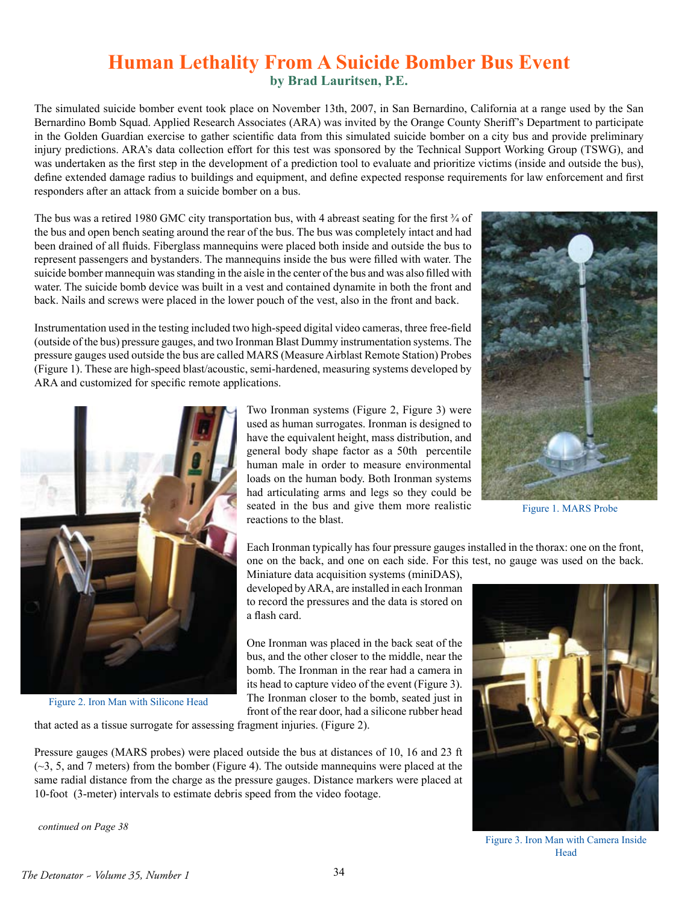## **Human Lethality From A Suicide Bomber Bus Event by Brad Lauritsen, P.E.**

The simulated suicide bomber event took place on November 13th, 2007, in San Bernardino, California at a range used by the San Bernardino Bomb Squad. Applied Research Associates (ARA) was invited by the Orange County Sheriff's Department to participate in the Golden Guardian exercise to gather scientific data from this simulated suicide bomber on a city bus and provide preliminary injury predictions. ARA's data collection effort for this test was sponsored by the Technical Support Working Group (TSWG), and was undertaken as the first step in the development of a prediction tool to evaluate and prioritize victims (inside and outside the bus), define extended damage radius to buildings and equipment, and define expected response requirements for law enforcement and first responders after an attack from a suicide bomber on a bus.

The bus was a retired 1980 GMC city transportation bus, with 4 abreast seating for the first  $\frac{3}{4}$  of the bus and open bench seating around the rear of the bus. The bus was completely intact and had been drained of all fluids. Fiberglass mannequins were placed both inside and outside the bus to represent passengers and bystanders. The mannequins inside the bus were filled with water. The suicide bomber mannequin was standing in the aisle in the center of the bus and was also filled with water. The suicide bomb device was built in a vest and contained dynamite in both the front and back. Nails and screws were placed in the lower pouch of the vest, also in the front and back.

Instrumentation used in the testing included two high-speed digital video cameras, three free-field (outside of the bus) pressure gauges, and two Ironman Blast Dummy instrumentation systems. The pressure gauges used outside the bus are called MARS (Measure Airblast Remote Station) Probes (Figure 1). These are high-speed blast/acoustic, semi-hardened, measuring systems developed by ARA and customized for specific remote applications.



Figure 2. Iron Man with Silicone Head

Two Ironman systems (Figure 2, Figure 3) were used as human surrogates. Ironman is designed to have the equivalent height, mass distribution, and general body shape factor as a 50th percentile human male in order to measure environmental loads on the human body. Both Ironman systems had articulating arms and legs so they could be seated in the bus and give them more realistic reactions to the blast.



Figure 1. MARS Probe

Each Ironman typically has four pressure gauges installed in the thorax: one on the front, one on the back, and one on each side. For this test, no gauge was used on the back.

Miniature data acquisition systems (miniDAS), developed by ARA, are installed in each Ironman to record the pressures and the data is stored on a flash card.

One Ironman was placed in the back seat of the bus, and the other closer to the middle, near the bomb. The Ironman in the rear had a camera in its head to capture video of the event (Figure 3). The Ironman closer to the bomb, seated just in front of the rear door, had a silicone rubber head

that acted as a tissue surrogate for assessing fragment injuries. (Figure 2).

Pressure gauges (MARS probes) were placed outside the bus at distances of 10, 16 and 23 ft  $(\sim$ 3, 5, and 7 meters) from the bomber (Figure 4). The outside mannequins were placed at the same radial distance from the charge as the pressure gauges. Distance markers were placed at 10-foot (3-meter) intervals to estimate debris speed from the video footage.

*continued on Page 38*



Figure 3. Iron Man with Camera Inside Head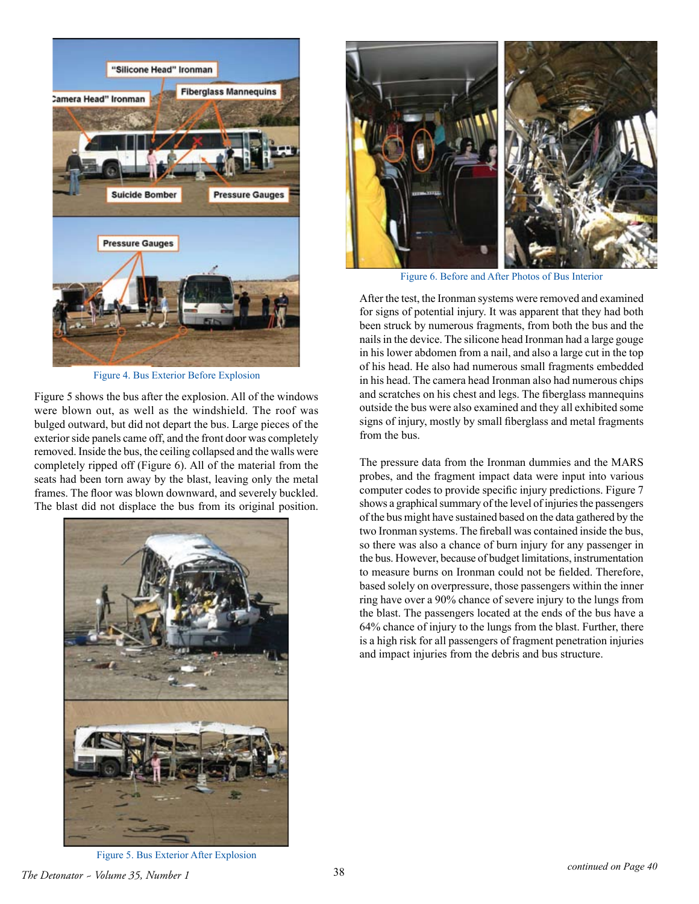

Figure 4. Bus Exterior Before Explosion

Figure 5 shows the bus after the explosion. All of the windows were blown out, as well as the windshield. The roof was bulged outward, but did not depart the bus. Large pieces of the exterior side panels came off, and the front door was completely removed. Inside the bus, the ceiling collapsed and the walls were completely ripped off (Figure 6). All of the material from the seats had been torn away by the blast, leaving only the metal frames. The floor was blown downward, and severely buckled. The blast did not displace the bus from its original position.





Figure 6. Before and After Photos of Bus Interior

After the test, the Ironman systems were removed and examined for signs of potential injury. It was apparent that they had both been struck by numerous fragments, from both the bus and the nails in the device. The silicone head Ironman had a large gouge in his lower abdomen from a nail, and also a large cut in the top of his head. He also had numerous small fragments embedded in his head. The camera head Ironman also had numerous chips and scratches on his chest and legs. The fiberglass mannequins outside the bus were also examined and they all exhibited some signs of injury, mostly by small fiberglass and metal fragments from the bus.

The pressure data from the Ironman dummies and the MARS probes, and the fragment impact data were input into various computer codes to provide specific injury predictions. Figure 7 shows a graphical summary of the level of injuries the passengers of the bus might have sustained based on the data gathered by the two Ironman systems. The fireball was contained inside the bus, so there was also a chance of burn injury for any passenger in the bus. However, because of budget limitations, instrumentation to measure burns on Ironman could not be fielded. Therefore, based solely on overpressure, those passengers within the inner ring have over a 90% chance of severe injury to the lungs from the blast. The passengers located at the ends of the bus have a 64% chance of injury to the lungs from the blast. Further, there is a high risk for all passengers of fragment penetration injuries and impact injuries from the debris and bus structure.

Figure 5. Bus Exterior After Explosion